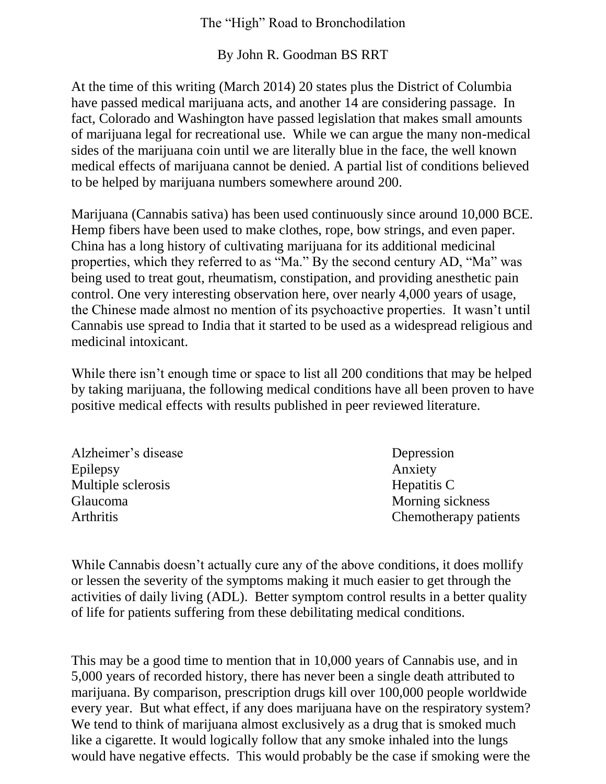## The "High" Road to Bronchodilation

By John R. Goodman BS RRT

At the time of this writing (March 2014) 20 states plus the District of Columbia have passed medical marijuana acts, and another 14 are considering passage. In fact, Colorado and Washington have passed legislation that makes small amounts of marijuana legal for recreational use. While we can argue the many non-medical sides of the marijuana coin until we are literally blue in the face, the well known medical effects of marijuana cannot be denied. A partial list of conditions believed to be helped by marijuana numbers somewhere around 200.

Marijuana (Cannabis sativa) has been used continuously since around 10,000 BCE. Hemp fibers have been used to make clothes, rope, bow strings, and even paper. China has a long history of cultivating marijuana for its additional medicinal properties, which they referred to as "Ma." By the second century AD, "Ma" was being used to treat gout, rheumatism, constipation, and providing anesthetic pain control. One very interesting observation here, over nearly 4,000 years of usage, the Chinese made almost no mention of its psychoactive properties. It wasn't until Cannabis use spread to India that it started to be used as a widespread religious and medicinal intoxicant.

While there isn't enough time or space to list all 200 conditions that may be helped by taking marijuana, the following medical conditions have all been proven to have positive medical effects with results published in peer reviewed literature.

| Alzheimer's disease | Depression            |
|---------------------|-----------------------|
| Epilepsy            | Anxiety               |
| Multiple sclerosis  | Hepatitis C           |
| <b>Glaucoma</b>     | Morning sickness      |
| <b>Arthritis</b>    | Chemotherapy patients |

While Cannabis doesn't actually cure any of the above conditions, it does mollify or lessen the severity of the symptoms making it much easier to get through the activities of daily living (ADL). Better symptom control results in a better quality of life for patients suffering from these debilitating medical conditions.

This may be a good time to mention that in 10,000 years of Cannabis use, and in 5,000 years of recorded history, there has never been a single death attributed to marijuana. By comparison, prescription drugs kill over 100,000 people worldwide every year. But what effect, if any does marijuana have on the respiratory system? We tend to think of marijuana almost exclusively as a drug that is smoked much like a cigarette. It would logically follow that any smoke inhaled into the lungs would have negative effects. This would probably be the case if smoking were the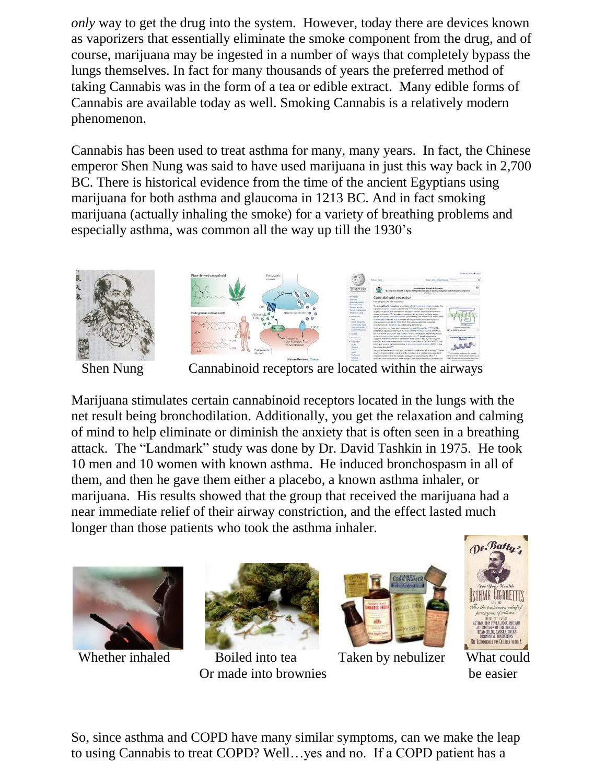*only* way to get the drug into the system. However, today there are devices known as vaporizers that essentially eliminate the smoke component from the drug, and of course, marijuana may be ingested in a number of ways that completely bypass the lungs themselves. In fact for many thousands of years the preferred method of taking Cannabis was in the form of a tea or edible extract. Many edible forms of Cannabis are available today as well. Smoking Cannabis is a relatively modern phenomenon.

Cannabis has been used to treat asthma for many, many years. In fact, the Chinese emperor Shen Nung was said to have used marijuana in just this way back in 2,700 BC. There is historical evidence from the time of the ancient Egyptians using marijuana for both asthma and glaucoma in 1213 BC. And in fact smoking marijuana (actually inhaling the smoke) for a variety of breathing problems and especially asthma, was common all the way up till the 1930's





Shen Nung Cannabinoid receptors are located within the airways

Marijuana stimulates certain cannabinoid receptors located in the lungs with the net result being bronchodilation. Additionally, you get the relaxation and calming of mind to help eliminate or diminish the anxiety that is often seen in a breathing attack. The "Landmark" study was done by Dr. David Tashkin in 1975. He took 10 men and 10 women with known asthma. He induced bronchospasm in all of them, and then he gave them either a placebo, a known asthma inhaler, or marijuana. His results showed that the group that received the marijuana had a near immediate relief of their airway constriction, and the effect lasted much longer than those patients who took the asthma inhaler.





Whether inhaled Boiled into tea Taken by nebulizer What could Or made into brownies be easier





So, since asthma and COPD have many similar symptoms, can we make the leap to using Cannabis to treat COPD? Well…yes and no. If a COPD patient has a